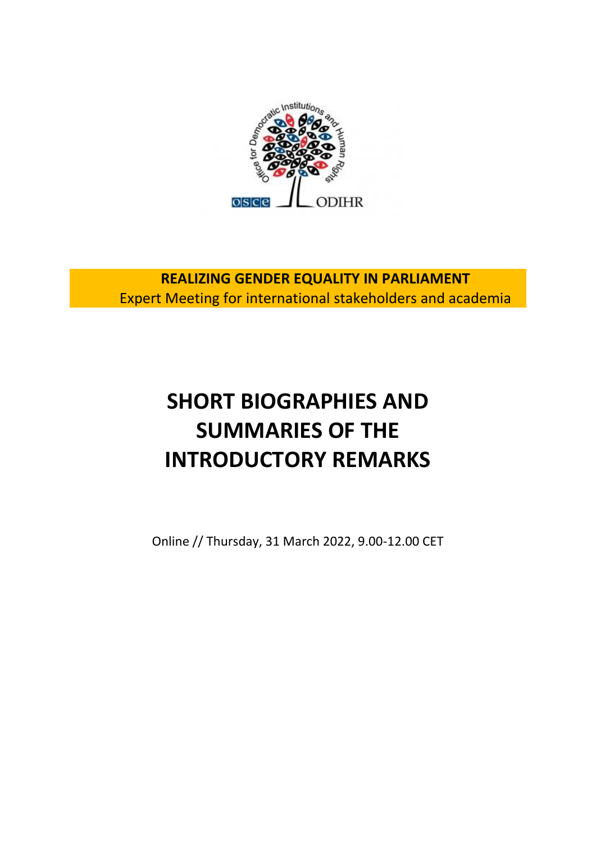

**REALIZING GENDER EQUALITY IN PARLIAMENT** Expert Meeting for international stakeholders and academia

# **SHORT BIOGRAPHIES AND SUMMARIES OF THE INTRODUCTORY REMARKS**

Online // Thursday, 31 March 2022, 9.00-12.00 CET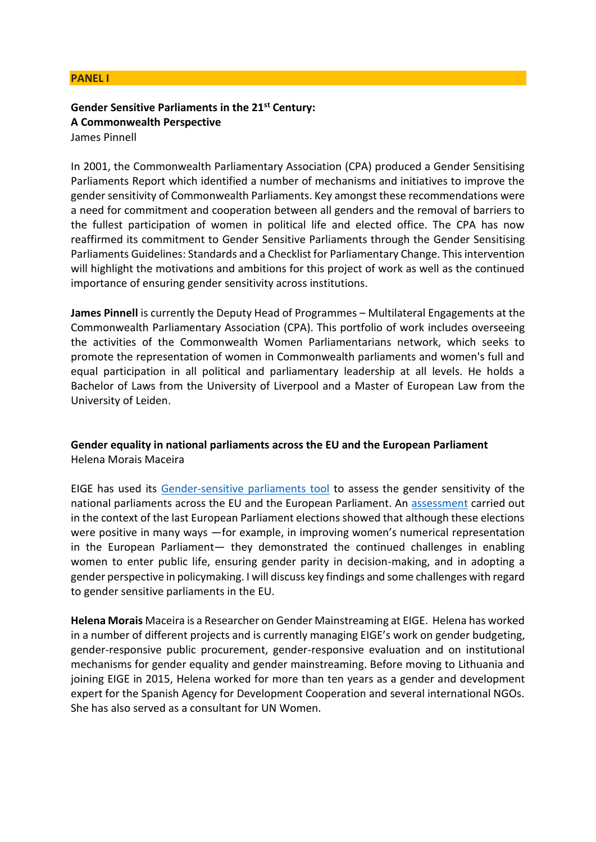#### **PANEL I**

# **Gender Sensitive Parliaments in the 21st Century: A Commonwealth Perspective**

James Pinnell

In 2001, the Commonwealth Parliamentary Association (CPA) produced a Gender Sensitising Parliaments Report which identified a number of mechanisms and initiatives to improve the gender sensitivity of Commonwealth Parliaments. Key amongst these recommendations were a need for commitment and cooperation between all genders and the removal of barriers to the fullest participation of women in political life and elected office. The CPA has now reaffirmed its commitment to Gender Sensitive Parliaments through the Gender Sensitising Parliaments Guidelines: Standards and a Checklist for Parliamentary Change. This intervention will highlight the motivations and ambitions for this project of work as well as the continued importance of ensuring gender sensitivity across institutions.

**James Pinnell** is currently the Deputy Head of Programmes – Multilateral Engagements at the Commonwealth Parliamentary Association (CPA). This portfolio of work includes overseeing the activities of the Commonwealth Women Parliamentarians network, which seeks to promote the representation of women in Commonwealth parliaments and women's full and equal participation in all political and parliamentary leadership at all levels. He holds a Bachelor of Laws from the University of Liverpool and a Master of European Law from the University of Leiden.

# **Gender equality in national parliaments across the EU and the European Parliament** Helena Morais Maceira

EIGE has used its [Gender-sensitive parliaments tool](https://eige.europa.eu/gender-mainstreaming/toolkits/gender-sensitive-parliaments) to assess the gender sensitivity of the national parliaments across the EU and the European Parliament. An [assessment](https://eige.europa.eu/sites/default/files/documents/mh0419527enn_002.pdf) carried out in the context of the last European Parliament elections showed that although these elections were positive in many ways —for example, in improving women's numerical representation in the European Parliament— they demonstrated the continued challenges in enabling women to enter public life, ensuring gender parity in decision-making, and in adopting a gender perspective in policymaking. I will discuss key findings and some challenges with regard to gender sensitive parliaments in the EU.

**Helena Morais** Maceira is a Researcher on Gender Mainstreaming at EIGE. Helena has worked in a number of different projects and is currently managing EIGE's work on gender budgeting, gender-responsive public procurement, gender-responsive evaluation and on institutional mechanisms for gender equality and gender mainstreaming. Before moving to Lithuania and joining EIGE in 2015, Helena worked for more than ten years as a gender and development expert for the Spanish Agency for Development Cooperation and several international NGOs. She has also served as a consultant for UN Women.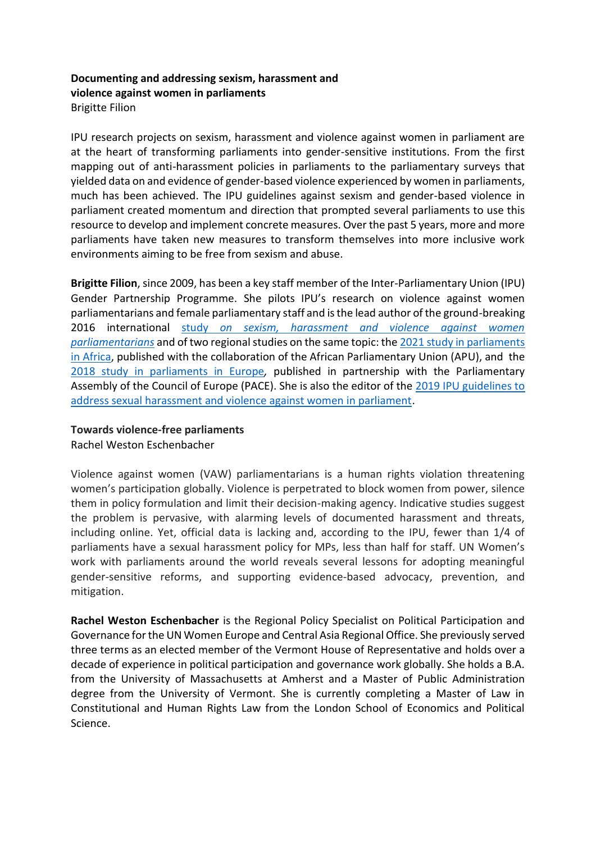# **Documenting and addressing sexism, harassment and violence against women in parliaments** Brigitte Filion

IPU research projects on sexism, harassment and violence against women in parliament are at the heart of transforming parliaments into gender-sensitive institutions. From the first mapping out of anti-harassment policies in parliaments to the parliamentary surveys that yielded data on and evidence of gender-based violence experienced by women in parliaments, much has been achieved. The IPU guidelines against sexism and gender-based violence in parliament created momentum and direction that prompted several parliaments to use this resource to develop and implement concrete measures. Over the past 5 years, more and more parliaments have taken new measures to transform themselves into more inclusive work environments aiming to be free from sexism and abuse.

**Brigitte Filion**, since 2009, has been a key staff member of the Inter-Parliamentary Union (IPU) Gender Partnership Programme. She pilots IPU's research on violence against women parliamentarians and female parliamentary staff and is the lead author of the ground-breaking 2016 international study *[on sexism, harassment and violence against women](https://www.ipu.org/resources/publications/issue-briefs/2016-10/sexism-harassment-and-violence-against-women-parliamentarians)  [parliamentarians](https://www.ipu.org/resources/publications/issue-briefs/2016-10/sexism-harassment-and-violence-against-women-parliamentarians)* and of two regional studies on the same topic: th[e 2021 study in parliaments](https://www.ipu.org/resources/publications/issue-briefs/2021-11/sexism-harassment-and-violence-against-women-in-parliaments-in-africa)  [in Africa,](https://www.ipu.org/resources/publications/issue-briefs/2021-11/sexism-harassment-and-violence-against-women-in-parliaments-in-africa) published with the collaboration of the African Parliamentary Union (APU), and the [2018 study in parliaments in Europe](https://www.ipu.org/resources/publications/issue-briefs/2018-10/sexism-harassment-and-violence-against-women-in-parliaments-in-europe)*,* published in partnership with the Parliamentary Assembly of the Council of Europe (PACE). She is also the editor of the [2019 IPU guidelines to](https://www.ipu.org/resources/publications/reference/2019-11/guidelines-elimination-sexism-harassment-and-violence-against-women-in-parliament)  [address sexual harassment and violence against women in parliament.](https://www.ipu.org/resources/publications/reference/2019-11/guidelines-elimination-sexism-harassment-and-violence-against-women-in-parliament)

# **Towards violence-free parliaments**

Rachel Weston Eschenbacher

Violence against women (VAW) parliamentarians is a human rights violation threatening women's participation globally. Violence is perpetrated to block women from power, silence them in policy formulation and limit their decision-making agency. Indicative studies suggest the problem is pervasive, with alarming levels of documented harassment and threats, including online. Yet, official data is lacking and, according to the IPU, fewer than 1/4 of parliaments have a sexual harassment policy for MPs, less than half for staff. UN Women's work with parliaments around the world reveals several lessons for adopting meaningful gender-sensitive reforms, and supporting evidence-based advocacy, prevention, and mitigation.

**Rachel Weston Eschenbacher** is the Regional Policy Specialist on Political Participation and Governance for the UN Women Europe and Central Asia Regional Office. She previously served three terms as an elected member of the Vermont House of Representative and holds over a decade of experience in political participation and governance work globally. She holds a B.A. from the University of Massachusetts at Amherst and a Master of Public Administration degree from the University of Vermont. She is currently completing a Master of Law in Constitutional and Human Rights Law from the London School of Economics and Political Science.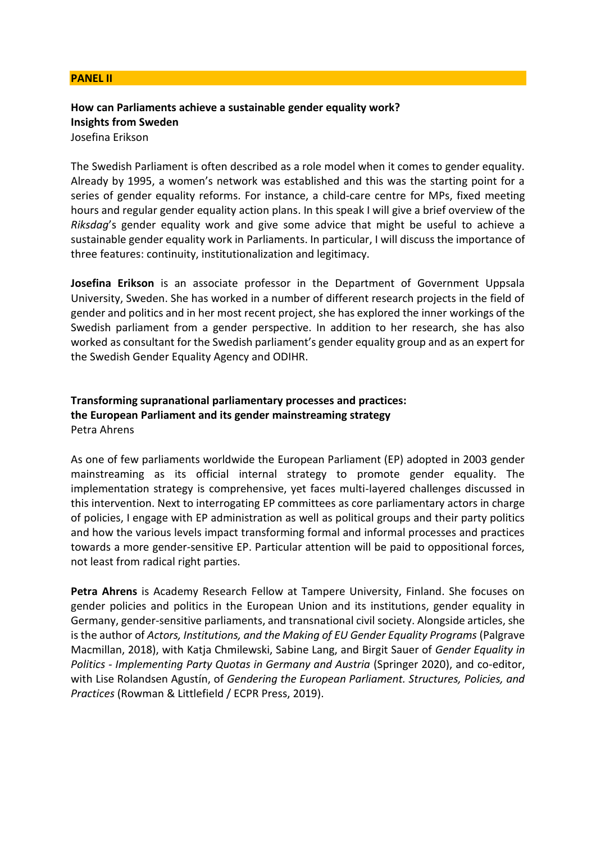#### **PANEL II**

# **How can Parliaments achieve a sustainable gender equality work? Insights from Sweden**

Josefina Erikson

The Swedish Parliament is often described as a role model when it comes to gender equality. Already by 1995, a women's network was established and this was the starting point for a series of gender equality reforms. For instance, a child-care centre for MPs, fixed meeting hours and regular gender equality action plans. In this speak I will give a brief overview of the *Riksdag*'s gender equality work and give some advice that might be useful to achieve a sustainable gender equality work in Parliaments. In particular, I will discuss the importance of three features: continuity, institutionalization and legitimacy.

**Josefina Erikson** is an associate professor in the Department of Government Uppsala University, Sweden. She has worked in a number of different research projects in the field of gender and politics and in her most recent project, she has explored the inner workings of the Swedish parliament from a gender perspective. In addition to her research, she has also worked as consultant for the Swedish parliament's gender equality group and as an expert for the Swedish Gender Equality Agency and ODIHR.

## **Transforming supranational parliamentary processes and practices: the European Parliament and its gender mainstreaming strategy** Petra Ahrens

As one of few parliaments worldwide the European Parliament (EP) adopted in 2003 gender mainstreaming as its official internal strategy to promote gender equality. The implementation strategy is comprehensive, yet faces multi-layered challenges discussed in this intervention. Next to interrogating EP committees as core parliamentary actors in charge of policies, I engage with EP administration as well as political groups and their party politics and how the various levels impact transforming formal and informal processes and practices towards a more gender-sensitive EP. Particular attention will be paid to oppositional forces, not least from radical right parties.

**Petra Ahrens** is Academy Research Fellow at Tampere University, Finland. She focuses on gender policies and politics in the European Union and its institutions, gender equality in Germany, gender-sensitive parliaments, and transnational civil society. Alongside articles, she is the author of *Actors, Institutions, and the Making of EU Gender Equality Programs* (Palgrave Macmillan, 2018), with Katja Chmilewski, Sabine Lang, and Birgit Sauer of *Gender Equality in Politics - Implementing Party Quotas in Germany and Austria* (Springer 2020), and co-editor, with Lise Rolandsen Agustín, of *Gendering the European Parliament. Structures, Policies, and Practices* (Rowman & Littlefield / ECPR Press, 2019).